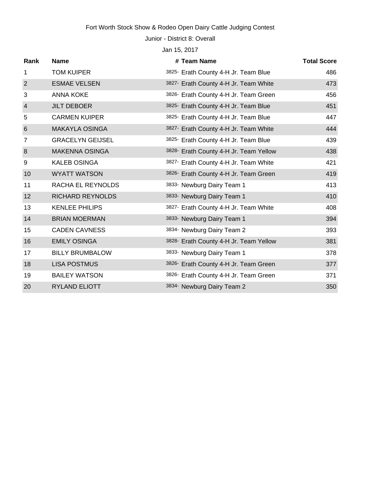# Fort Worth Stock Show & Rodeo Open Dairy Cattle Judging Contest

Junior - District 8: Overall

Jan 15, 2017

| Rank           | <b>Name</b>             | # Team Name                            | <b>Total Score</b> |
|----------------|-------------------------|----------------------------------------|--------------------|
| 1              | <b>TOM KUIPER</b>       | 3825- Erath County 4-H Jr. Team Blue   | 486                |
| $\overline{2}$ | <b>ESMAE VELSEN</b>     | 3827- Erath County 4-H Jr. Team White  | 473                |
| 3              | <b>ANNA KOKE</b>        | 3826- Erath County 4-H Jr. Team Green  | 456                |
| $\overline{4}$ | <b>JILT DEBOER</b>      | 3825- Erath County 4-H Jr. Team Blue   | 451                |
| 5              | <b>CARMEN KUIPER</b>    | 3825- Erath County 4-H Jr. Team Blue   | 447                |
| 6              | <b>MAKAYLA OSINGA</b>   | 3827- Erath County 4-H Jr. Team White  | 444                |
| $\overline{7}$ | <b>GRACELYN GEIJSEL</b> | 3825- Erath County 4-H Jr. Team Blue   | 439                |
| 8              | <b>MAKENNA OSINGA</b>   | 3828- Erath County 4-H Jr. Team Yellow | 438                |
| 9              | <b>KALEB OSINGA</b>     | 3827- Erath County 4-H Jr. Team White  | 421                |
| 10             | <b>WYATT WATSON</b>     | 3826- Erath County 4-H Jr. Team Green  | 419                |
| 11             | RACHA EL REYNOLDS       | 3833- Newburg Dairy Team 1             | 413                |
| 12             | <b>RICHARD REYNOLDS</b> | 3833- Newburg Dairy Team 1             | 410                |
| 13             | <b>KENLEE PHILIPS</b>   | 3827- Erath County 4-H Jr. Team White  | 408                |
| 14             | <b>BRIAN MOERMAN</b>    | 3833- Newburg Dairy Team 1             | 394                |
| 15             | <b>CADEN CAVNESS</b>    | 3834- Newburg Dairy Team 2             | 393                |
| 16             | <b>EMILY OSINGA</b>     | 3828- Erath County 4-H Jr. Team Yellow | 381                |
| 17             | <b>BILLY BRUMBALOW</b>  | 3833- Newburg Dairy Team 1             | 378                |
| 18             | <b>LISA POSTMUS</b>     | 3826- Erath County 4-H Jr. Team Green  | 377                |
| 19             | <b>BAILEY WATSON</b>    | 3826- Erath County 4-H Jr. Team Green  | 371                |
| 20             | RYLAND ELIOTT           | 3834- Newburg Dairy Team 2             | 350                |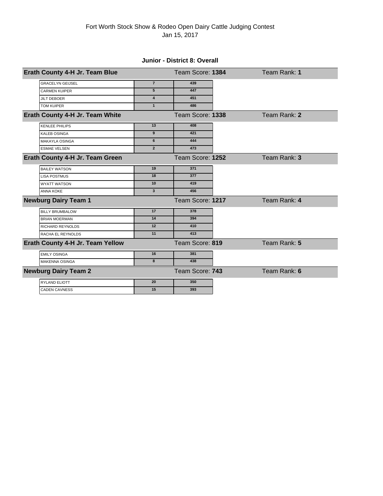### **Junior - District 8: Overall**

| Erath County 4-H Jr. Team Blue   |                         | Team Score: 1384 | Team Rank: 1 |
|----------------------------------|-------------------------|------------------|--------------|
| <b>GRACELYN GEIJSEL</b>          | $\overline{7}$          | 439              |              |
| <b>CARMEN KUIPER</b>             | 5                       | 447              |              |
| <b>JILT DEBOER</b>               | $\overline{\mathbf{4}}$ | 451              |              |
| <b>TOM KUIPER</b>                | $\mathbf{1}$            | 486              |              |
| Erath County 4-H Jr. Team White  |                         | Team Score: 1338 | Team Rank: 2 |
| <b>KENLEE PHILIPS</b>            | 13                      | 408              |              |
| <b>KALEB OSINGA</b>              | 9                       | 421              |              |
| <b>MAKAYLA OSINGA</b>            | 6                       | 444              |              |
| <b>ESMAE VELSEN</b>              | $\overline{2}$          | 473              |              |
| Erath County 4-H Jr. Team Green  |                         | Team Score: 1252 | Team Rank: 3 |
| <b>BAILEY WATSON</b>             | 19                      | 371              |              |
| <b>LISA POSTMUS</b>              | 18                      | 377              |              |
| <b>WYATT WATSON</b>              | 10                      | 419              |              |
| <b>ANNA KOKE</b>                 | $\overline{\mathbf{3}}$ | 456              |              |
| <b>Newburg Dairy Team 1</b>      |                         | Team Score: 1217 | Team Rank: 4 |
| <b>BILLY BRUMBALOW</b>           | 17                      | 378              |              |
| <b>BRIAN MOERMAN</b>             | 14                      | 394              |              |
| <b>RICHARD REYNOLDS</b>          | 12                      | 410              |              |
| RACHA EL REYNOLDS                | 11                      | 413              |              |
| Erath County 4-H Jr. Team Yellow |                         | Team Score: 819  | Team Rank: 5 |
| <b>EMILY OSINGA</b>              | 16                      | 381              |              |
| <b>MAKENNA OSINGA</b>            | 8                       | 438              |              |
| <b>Newburg Dairy Team 2</b>      |                         | Team Score: 743  | Team Rank: 6 |
| <b>RYLAND ELIOTT</b>             | 20                      | 350              |              |
| <b>CADEN CAVNESS</b>             | 15                      | 393              |              |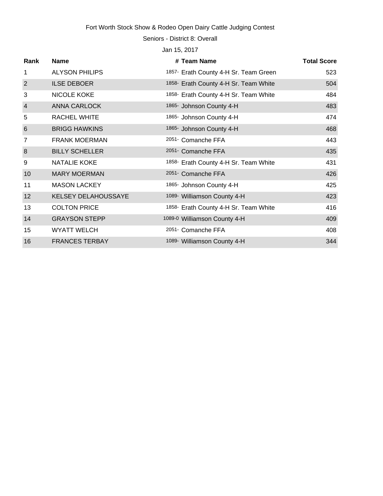# Fort Worth Stock Show & Rodeo Open Dairy Cattle Judging Contest

Seniors - District 8: Overall

Jan 15, 2017

| Rank            | <b>Name</b>                | # Team Name                           | <b>Total Score</b> |
|-----------------|----------------------------|---------------------------------------|--------------------|
| 1               | <b>ALYSON PHILIPS</b>      | 1857- Erath County 4-H Sr. Team Green | 523                |
| $\overline{2}$  | <b>ILSE DEBOER</b>         | 1858- Erath County 4-H Sr. Team White | 504                |
| 3               | NICOLE KOKE                | 1858- Erath County 4-H Sr. Team White | 484                |
| $\overline{4}$  | <b>ANNA CARLOCK</b>        | 1865- Johnson County 4-H              | 483                |
| 5               | <b>RACHEL WHITE</b>        | 1865- Johnson County 4-H              | 474                |
| $6\phantom{1}6$ | <b>BRIGG HAWKINS</b>       | 1865- Johnson County 4-H              | 468                |
| 7               | <b>FRANK MOERMAN</b>       | 2051- Comanche FFA                    | 443                |
| 8               | <b>BILLY SCHELLER</b>      | 2051- Comanche FFA                    | 435                |
| 9               | <b>NATALIE KOKE</b>        | 1858- Erath County 4-H Sr. Team White | 431                |
| 10              | <b>MARY MOERMAN</b>        | 2051- Comanche FFA                    | 426                |
| 11              | <b>MASON LACKEY</b>        | 1865- Johnson County 4-H              | 425                |
| 12              | <b>KELSEY DELAHOUSSAYE</b> | 1089- Williamson County 4-H           | 423                |
| 13              | <b>COLTON PRICE</b>        | 1858- Erath County 4-H Sr. Team White | 416                |
| 14              | <b>GRAYSON STEPP</b>       | 1089-0 Williamson County 4-H          | 409                |
| 15              | <b>WYATT WELCH</b>         | 2051- Comanche FFA                    | 408                |
| 16              | <b>FRANCES TERBAY</b>      | 1089- Williamson County 4-H           | 344                |